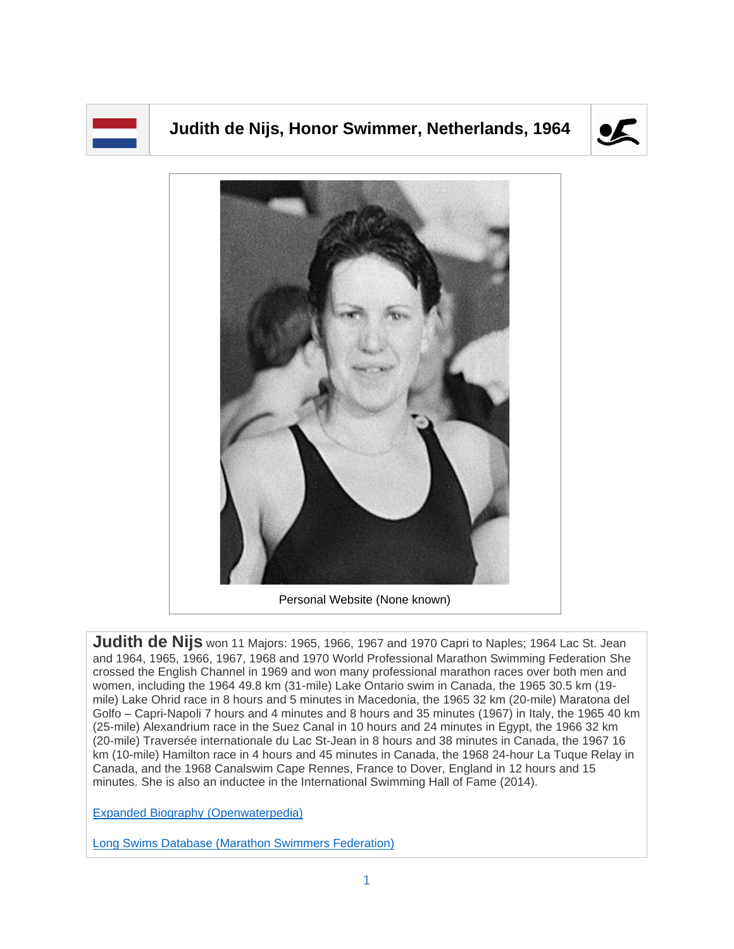## **Judith de Nijs, Honor Swimmer, Netherlands, 1964**





Personal Website (None known)

**Judith de Nijs** won 11 Majors: 1965, 1966, 1967 and 1970 Capri to Naples; 1964 Lac St. Jean and 1964, 1965, 1966, 1967, 1968 and 1970 World Professional Marathon Swimming Federation She crossed the English Channel in 1969 and won many professional marathon races over both men and women, including the 1964 49.8 km (31-mile) Lake Ontario swim in Canada, the 1965 30.5 km (19 mile) Lake Ohrid race in 8 hours and 5 minutes in Macedonia, the 1965 32 km (20-mile) Maratona del Golfo – Capri-Napoli 7 hours and 4 minutes and 8 hours and 35 minutes (1967) in Italy, the 1965 40 km (25-mile) Alexandrium race in the Suez Canal in 10 hours and 24 minutes in Egypt, the 1966 32 km (20-mile) Traversée internationale du Lac St-Jean in 8 hours and 38 minutes in Canada, the 1967 16 km (10-mile) Hamilton race in 4 hours and 45 minutes in Canada, the 1968 24-hour La Tuque Relay in Canada, and the 1968 Canalswim Cape Rennes, France to Dover, England in 12 hours and 15 minutes. She is also an inductee in the International Swimming Hall of Fame (2014).

[Expanded Biography](https://www.openwaterpedia.com/index.php?title=Judith_van_Berkel-de_Nijs) (Openwaterpedia)

Long Swims Database [\(Marathon Swimmers Federation\)](https://db.marathonswimmers.org/p/judith-de-nijs/)